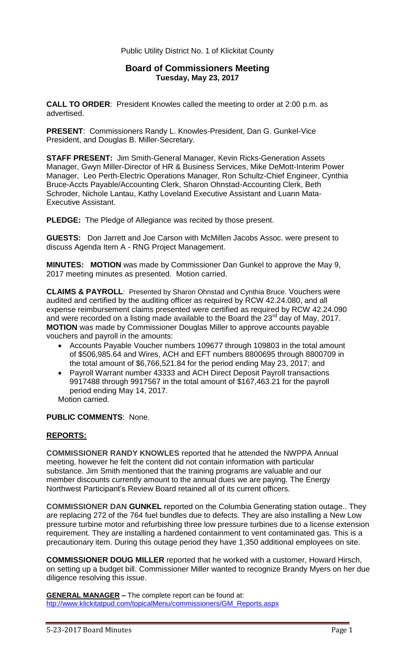### Public Utility District No. 1 of Klickitat County

## **Board of Commissioners Meeting Tuesday, May 23, 2017**

**CALL TO ORDER**: President Knowles called the meeting to order at 2:00 p.m. as advertised.

**PRESENT**: Commissioners Randy L. Knowles-President, Dan G. Gunkel-Vice President, and Douglas B. Miller-Secretary.

**STAFF PRESENT:** Jim Smith-General Manager, Kevin Ricks-Generation Assets Manager, Gwyn Miller-Director of HR & Business Services, Mike DeMott-Interim Power Manager, Leo Perth-Electric Operations Manager, Ron Schultz-Chief Engineer, Cynthia Bruce-Accts Payable/Accounting Clerk, Sharon Ohnstad-Accounting Clerk, Beth Schroder, Nichole Lantau, Kathy Loveland Executive Assistant and Luann Mata-Executive Assistant.

**PLEDGE:** The Pledge of Allegiance was recited by those present.

**GUESTS:** Don Jarrett and Joe Carson with McMillen Jacobs Assoc. were present to discuss Agenda Item A - RNG Project Management.

**MINUTES: MOTION** was made by Commissioner Dan Gunkel to approve the May 9, 2017 meeting minutes as presented. Motion carried.

**CLAIMS & PAYROLL**: Presented by Sharon Ohnstad and Cynthia Bruce. Vouchers were audited and certified by the auditing officer as required by RCW 42.24.080, and all expense reimbursement claims presented were certified as required by RCW 42.24.090 and were recorded on a listing made available to the Board the 23<sup>rd</sup> day of May, 2017. **MOTION** was made by Commissioner Douglas Miller to approve accounts payable vouchers and payroll in the amounts:

- Accounts Payable Voucher numbers 109677 through 109803 in the total amount of \$506,985.64 and Wires, ACH and EFT numbers 8800695 through 8800709 in the total amount of \$6,766,521.84 for the period ending May 23, 2017; and
- Payroll Warrant number 43333 and ACH Direct Deposit Payroll transactions 9917488 through 9917567 in the total amount of \$167,463.21 for the payroll period ending May 14, 2017. Motion carried.

#### **PUBLIC COMMENTS**: None.

### **REPORTS:**

**COMMISSIONER RANDY KNOWLES** reported that he attended the NWPPA Annual meeting, however he felt the content did not contain information with particular substance. Jim Smith mentioned that the training programs are valuable and our member discounts currently amount to the annual dues we are paying. The Energy Northwest Participant's Review Board retained all of its current officers.

**COMMISSIONER DAN GUNKEL** reported on the Columbia Generating station outage.. They are replacing 272 of the 764 fuel bundles due to defects. They are also installing a New Low pressure turbine motor and refurbishing three low pressure turbines due to a license extension requirement. They are installing a hardened containment to vent contaminated gas. This is a precautionary item. During this outage period they have 1,350 additional employees on site.

**COMMISSIONER DOUG MILLER** reported that he worked with a customer, Howard Hirsch, on setting up a budget bill. Commissioner Miller wanted to recognize Brandy Myers on her due diligence resolving this issue.

**GENERAL MANAGER –** The complete report can be found at: [htp://www.klickitatpud.com/topicalMenu/commissioners/GM\\_Reports.aspx](http://www.klickitatpud.com/topicalMenu/commissioners/GM_Reports.aspx)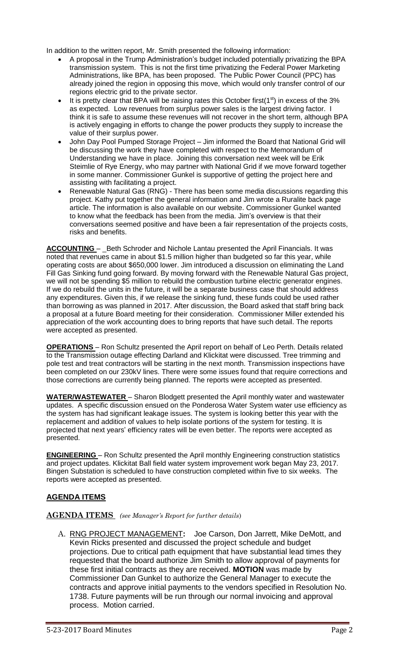In addition to the written report, Mr. Smith presented the following information:

- A proposal in the Trump Administration's budget included potentially privatizing the BPA transmission system. This is not the first time privatizing the Federal Power Marketing Administrations, like BPA, has been proposed. The Public Power Council (PPC) has already joined the region in opposing this move, which would only transfer control of our regions electric grid to the private sector.
- It is pretty clear that BPA will be raising rates this October first( $1<sup>st</sup>$ ) in excess of the 3% as expected. Low revenues from surplus power sales is the largest driving factor. I think it is safe to assume these revenues will not recover in the short term, although BPA is actively engaging in efforts to change the power products they supply to increase the value of their surplus power.
- John Day Pool Pumped Storage Project Jim informed the Board that National Grid will be discussing the work they have completed with respect to the Memorandum of Understanding we have in place. Joining this conversation next week will be Erik Steimlie of Rye Energy, who may partner with National Grid if we move forward together in some manner. Commissioner Gunkel is supportive of getting the project here and assisting with facilitating a project.
- Renewable Natural Gas (RNG) There has been some media discussions regarding this project. Kathy put together the general information and Jim wrote a Ruralite back page article. The information is also available on our website. Commissioner Gunkel wanted to know what the feedback has been from the media. Jim's overview is that their conversations seemed positive and have been a fair representation of the projects costs, risks and benefits.

**ACCOUNTING** – \_Beth Schroder and Nichole Lantau presented the April Financials. It was noted that revenues came in about \$1.5 million higher than budgeted so far this year, while operating costs are about \$650,000 lower. Jim introduced a discussion on eliminating the Land Fill Gas Sinking fund going forward. By moving forward with the Renewable Natural Gas project, we will not be spending \$5 million to rebuild the combustion turbine electric generator engines. If we do rebuild the units in the future, it will be a separate business case that should address any expenditures. Given this, if we release the sinking fund, these funds could be used rather than borrowing as was planned in 2017. After discussion, the Board asked that staff bring back a proposal at a future Board meeting for their consideration. Commissioner Miller extended his appreciation of the work accounting does to bring reports that have such detail. The reports were accepted as presented.

**OPERATIONS** – Ron Schultz presented the April report on behalf of Leo Perth. Details related to the Transmission outage effecting Darland and Klickitat were discussed. Tree trimming and pole test and treat contractors will be starting in the next month. Transmission inspections have been completed on our 230kV lines. There were some issues found that require corrections and those corrections are currently being planned. The reports were accepted as presented.

**WATER/WASTEWATER** – Sharon Blodgett presented the April monthly water and wastewater updates. A specific discussion ensued on the Ponderosa Water System water use efficiency as the system has had significant leakage issues. The system is looking better this year with the replacement and addition of values to help isolate portions of the system for testing. It is projected that next years' efficiency rates will be even better. The reports were accepted as presented.

**ENGINEERING** – Ron Schultz presented the April monthly Engineering construction statistics and project updates. Klickitat Ball field water system improvement work began May 23, 2017. Bingen Substation is scheduled to have construction completed within five to six weeks. The reports were accepted as presented.

# **AGENDA ITEMS**

### **AGENDA ITEMS** *(see Manager's Report for further details*)

A. RNG PROJECT MANAGEMENT**:** Joe Carson, Don Jarrett, Mike DeMott, and Kevin Ricks presented and discussed the project schedule and budget projections. Due to critical path equipment that have substantial lead times they requested that the board authorize Jim Smith to allow approval of payments for these first initial contracts as they are received. **MOTION** was made by Commissioner Dan Gunkel to authorize the General Manager to execute the contracts and approve initial payments to the vendors specified in Resolution No. 1738. Future payments will be run through our normal invoicing and approval process. Motion carried.